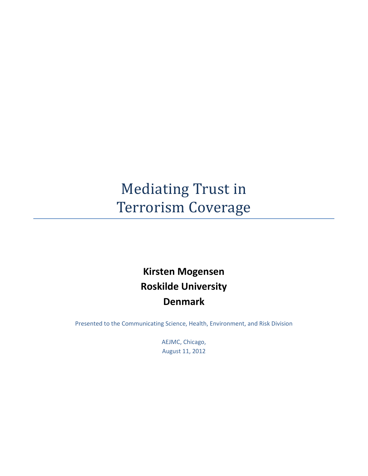# Mediating Trust in Terrorism Coverage

# **Kirsten Mogensen Roskilde University Denmark**

Presented to the Communicating Science, Health, Environment, and Risk Division

AEJMC, Chicago, August 11, 2012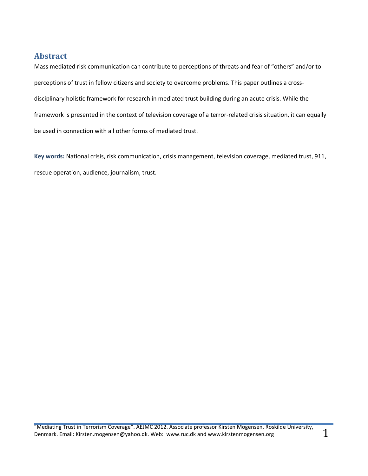## <span id="page-1-0"></span>**Abstract**

Mass mediated risk communication can contribute to perceptions of threats and fear of "others" and/or to perceptions of trust in fellow citizens and society to overcome problems. This paper outlines a crossdisciplinary holistic framework for research in mediated trust building during an acute crisis. While the framework is presented in the context of television coverage of a terror-related crisis situation, it can equally be used in connection with all other forms of mediated trust.

**Key words:** National crisis, risk communication, crisis management, television coverage, mediated trust, 911, rescue operation, audience, journalism, trust.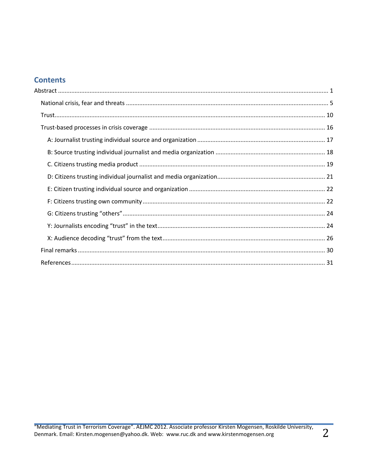# **Contents**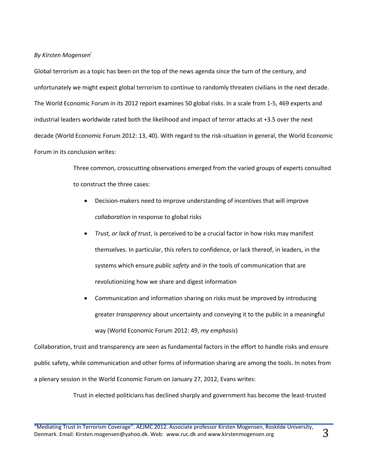*By Kirsten Mogensen<sup>i</sup>*

Global terrorism as a topic has been on the top of the news agenda since the turn of the century, and unfortunately we might expect global terrorism to continue to randomly threaten civilians in the next decade. The World Economic Forum in its 2012 report examines 50 global risks. In a scale from 1-5, 469 experts and industrial leaders worldwide rated both the likelihood and impact of terror attacks at +3.5 over the next decade (World Economic Forum 2012: 13, 40). With regard to the risk-situation in general, the World Economic Forum in its conclusion writes:

> Three common, crosscutting observations emerged from the varied groups of experts consulted to construct the three cases:

- Decision-makers need to improve understanding of incentives that will improve *collaboration* in response to global risks
- *Trust, or lack of trust*, is perceived to be a crucial factor in how risks may manifest themselves. In particular, this refers to confidence, or lack thereof, in leaders, in the systems which ensure *public safety* and in the tools of communication that are revolutionizing how we share and digest information
- Communication and information sharing on risks must be improved by introducing greater *transparency* about uncertainty and conveying it to the public in a meaningful way (World Economic Forum 2012: 49, *my emphasis*)

Collaboration, trust and transparency are seen as fundamental factors in the effort to handle risks and ensure public safety, while communication and other forms of information sharing are among the tools. In notes from a plenary session in the World Economic Forum on January 27, 2012, Evans writes:

Trust in elected politicians has declined sharply and government has become the least-trusted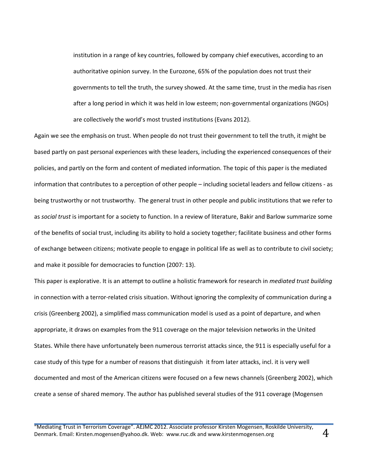institution in a range of key countries, followed by company chief executives, according to an authoritative opinion survey. In the Eurozone, 65% of the population does not trust their governments to tell the truth, the survey showed. At the same time, trust in the media has risen after a long period in which it was held in low esteem; non-governmental organizations (NGOs) are collectively the world's most trusted institutions (Evans 2012).

Again we see the emphasis on trust. When people do not trust their government to tell the truth, it might be based partly on past personal experiences with these leaders, including the experienced consequences of their policies, and partly on the form and content of mediated information. The topic of this paper is the mediated information that contributes to a perception of other people – including societal leaders and fellow citizens - as being trustworthy or not trustworthy. The general trust in other people and public institutions that we refer to as *social trust* is important for a society to function. In a review of literature, Bakir and Barlow summarize some of the benefits of social trust, including its ability to hold a society together; facilitate business and other forms of exchange between citizens; motivate people to engage in political life as well as to contribute to civil society; and make it possible for democracies to function (2007: 13).

This paper is explorative. It is an attempt to outline a holistic framework for research in *mediated trust building* in connection with a terror-related crisis situation. Without ignoring the complexity of communication during a crisis (Greenberg 2002), a simplified mass communication model is used as a point of departure, and when appropriate, it draws on examples from the 911 coverage on the major television networks in the United States. While there have unfortunately been numerous terrorist attacks since, the 911 is especially useful for a case study of this type for a number of reasons that distinguish it from later attacks, incl. it is very well documented and most of the American citizens were focused on a few news channels (Greenberg 2002), which create a sense of shared memory. The author has published several studies of the 911 coverage (Mogensen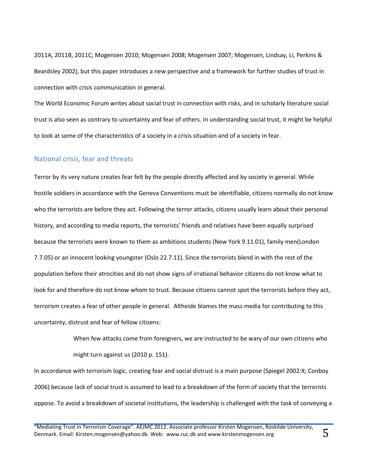2011A, 2011B, 2011C; Mogensen 2010; Mogensen 2008; Mogensen 2007; Mogensen, Lindsay, Li, Perkins & Beardsley 2002), but this paper introduces a new perspective and a framework for further studies of trust in connection with crisis communication in general.

The World Economic Forum writes about social trust in connection with risks, and in scholarly literature social trust is also seen as contrary to uncertainty and fear of others. In understanding social trust, it might be helpful to look at some of the characteristics of a society in a crisis situation and of a society in fear.

#### <span id="page-5-0"></span>National crisis, fear and threats

Terror by its very nature creates fear felt by the people directly affected and by society in general. While hostile soldiers in accordance with the Geneva Conventions must be identifiable, citizens normally do not know who the terrorists are before they act. Following the terror attacks, citizens usually learn about their personal history, and according to media reports, the terrorists' friends and relatives have been equally surprised because the terrorists were known to them as ambitions students (New York 9.11.01), family men(London 7.7.05) or an innocent looking youngster (Oslo 22.7.11). Since the terrorists blend in with the rest of the population before their atrocities and do not show signs of irrational behavior citizens do not know what to look for and therefore do not know whom to trust. Because citizens cannot spot the terrorists before they act, terrorism creates a fear of other people in general. Altheide blames the mass media for contributing to this uncertainty, distrust and fear of fellow citizens:

> When few attacks come from foreigners, we are instructed to be wary of our own citizens who might turn against us (2010 p. 151).

In accordance with terrorism logic, creating fear and social distrust is a main purpose (Spiegel 2002:X; Conboy 2006) because lack of social trust is assumed to lead to a breakdown of the form of society that the terrorists oppose. To avoid a breakdown of societal institutions, the leadership is challenged with the task of conveying a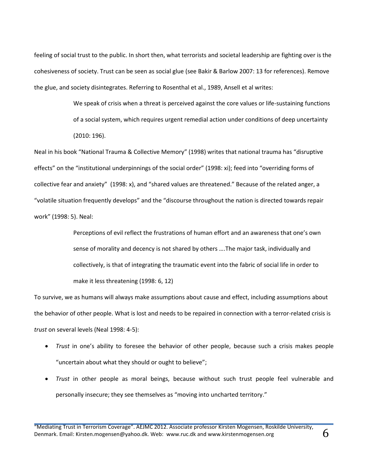feeling of social trust to the public. In short then, what terrorists and societal leadership are fighting over is the cohesiveness of society. Trust can be seen as social glue (see Bakir & Barlow 2007: 13 for references). Remove the glue, and society disintegrates. Referring to Rosenthal et al., 1989, Ansell et al writes:

> We speak of crisis when a threat is perceived against the core values or life-sustaining functions of a social system, which requires urgent remedial action under conditions of deep uncertainty (2010: 196).

Neal in his book "National Trauma & Collective Memory" (1998) writes that national trauma has "disruptive effects" on the "institutional underpinnings of the social order" (1998: xi); feed into "overriding forms of collective fear and anxiety" (1998: x), and "shared values are threatened." Because of the related anger, a "volatile situation frequently develops" and the "discourse throughout the nation is directed towards repair work" (1998: 5). Neal:

> Perceptions of evil reflect the frustrations of human effort and an awareness that one's own sense of morality and decency is not shared by others ….The major task, individually and collectively, is that of integrating the traumatic event into the fabric of social life in order to make it less threatening (1998: 6, 12)

To survive, we as humans will always make assumptions about cause and effect, including assumptions about the behavior of other people. What is lost and needs to be repaired in connection with a terror-related crisis is *trust* on several levels (Neal 1998: 4-5):

- *Trust* in one's ability to foresee the behavior of other people, because such a crisis makes people "uncertain about what they should or ought to believe";
- *Trust* in other people as moral beings, because without such trust people feel vulnerable and personally insecure; they see themselves as "moving into uncharted territory."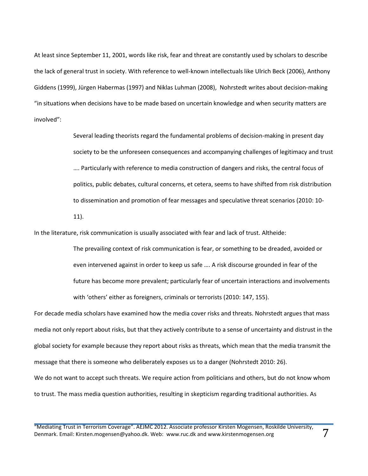At least since September 11, 2001, words like risk, fear and threat are constantly used by scholars to describe the lack of general trust in society. With reference to well-known intellectuals like Ulrich Beck (2006), Anthony Giddens (1999), Jürgen Habermas (1997) and Niklas Luhman (2008), Nohrstedt writes about decision-making "in situations when decisions have to be made based on uncertain knowledge and when security matters are involved":

> Several leading theorists regard the fundamental problems of decision-making in present day society to be the unforeseen consequences and accompanying challenges of legitimacy and trust …. Particularly with reference to media construction of dangers and risks, the central focus of politics, public debates, cultural concerns, et cetera, seems to have shifted from risk distribution to dissemination and promotion of fear messages and speculative threat scenarios (2010: 10-

11).

In the literature, risk communication is usually associated with fear and lack of trust. Altheide:

The prevailing context of risk communication is fear, or something to be dreaded, avoided or even intervened against in order to keep us safe …. A risk discourse grounded in fear of the future has become more prevalent; particularly fear of uncertain interactions and involvements with 'others' either as foreigners, criminals or terrorists (2010: 147, 155).

For decade media scholars have examined how the media cover risks and threats. Nohrstedt argues that mass media not only report about risks, but that they actively contribute to a sense of uncertainty and distrust in the global society for example because they report about risks as threats, which mean that the media transmit the message that there is someone who deliberately exposes us to a danger (Nohrstedt 2010: 26). We do not want to accept such threats. We require action from politicians and others, but do not know whom to trust. The mass media question authorities, resulting in skepticism regarding traditional authorities. As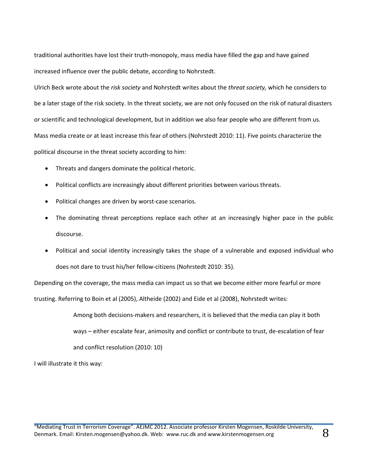traditional authorities have lost their truth-monopoly, mass media have filled the gap and have gained increased influence over the public debate, according to Nohrstedt.

Ulrich Beck wrote about the *risk society* and Nohrstedt writes about the *threat society,* which he considers to be a later stage of the risk society. In the threat society, we are not only focused on the risk of natural disasters or scientific and technological development, but in addition we also fear people who are different from us. Mass media create or at least increase this fear of others (Nohrstedt 2010: 11). Five points characterize the political discourse in the threat society according to him:

- Threats and dangers dominate the political rhetoric.
- Political conflicts are increasingly about different priorities between various threats.
- Political changes are driven by worst-case scenarios.
- The dominating threat perceptions replace each other at an increasingly higher pace in the public discourse.
- Political and social identity increasingly takes the shape of a vulnerable and exposed individual who does not dare to trust his/her fellow-citizens (Nohrstedt 2010: 35).

Depending on the coverage, the mass media can impact us so that we become either more fearful or more

trusting. Referring to Boin et al (2005), Altheide (2002) and Eide et al (2008), Nohrstedt writes:

Among both decisions-makers and researchers, it is believed that the media can play it both ways – either escalate fear, animosity and conflict or contribute to trust, de-escalation of fear and conflict resolution (2010: 10)

I will illustrate it this way: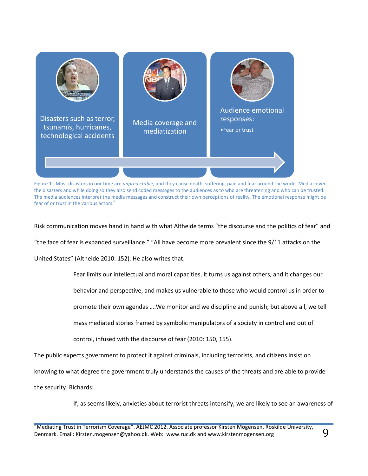

Figure 1 : Most disasters in our time are *unpredictable,* and they cause death, suffering, pain and fear around the world. Media cover the disasters and while doing so they also send coded messages to the audiences as to who are threatening and who can be trusted. The media audiences interpret the media messages and construct their own perceptions of reality. The emotional response might be fear of or trust in the various actors.

Risk communication moves hand in hand with what Altheide terms "the discourse and the politics of fear" and

"the face of fear is expanded surveillance." "All have become more prevalent since the 9/11 attacks on the

United States" (Altheide 2010: 152). He also writes that:

Fear limits our intellectual and moral capacities, it turns us against others, and it changes our

behavior and perspective, and makes us vulnerable to those who would control us in order to

promote their own agendas ….We monitor and we discipline and punish; but above all, we tell

mass mediated stories framed by symbolic manipulators of a society in control and out of

control, infused with the discourse of fear (2010: 150, 155).

The public expects government to protect it against criminals, including terrorists, and citizens insist on

knowing to what degree the government truly understands the causes of the threats and are able to provide

the security. Richards:

If, as seems likely, anxieties about terrorist threats intensify, we are likely to see an awareness of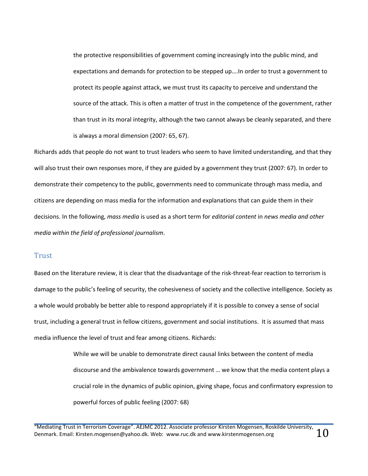the protective responsibilities of government coming increasingly into the public mind, and expectations and demands for protection to be stepped up….In order to trust a government to protect its people against attack, we must trust its capacity to perceive and understand the source of the attack. This is often a matter of trust in the competence of the government, rather than trust in its moral integrity, although the two cannot always be cleanly separated, and there is always a moral dimension (2007: 65, 67).

Richards adds that people do not want to trust leaders who seem to have limited understanding, and that they will also trust their own responses more, if they are guided by a government they trust (2007: 67). In order to demonstrate their competency to the public, governments need to communicate through mass media, and citizens are depending on mass media for the information and explanations that can guide them in their decisions. In the following, *mass media* is used as a short term for *editorial content* in *news media and other media within the field of professional journalism*.

#### <span id="page-10-0"></span>Trust

Based on the literature review, it is clear that the disadvantage of the risk-threat-fear reaction to terrorism is damage to the public's feeling of security, the cohesiveness of society and the collective intelligence. Society as a whole would probably be better able to respond appropriately if it is possible to convey a sense of social trust, including a general trust in fellow citizens, government and social institutions. It is assumed that mass media influence the level of trust and fear among citizens. Richards:

> While we will be unable to demonstrate direct causal links between the content of media discourse and the ambivalence towards government … we know that the media content plays a crucial role in the dynamics of public opinion, giving shape, focus and confirmatory expression to powerful forces of public feeling (2007: 68)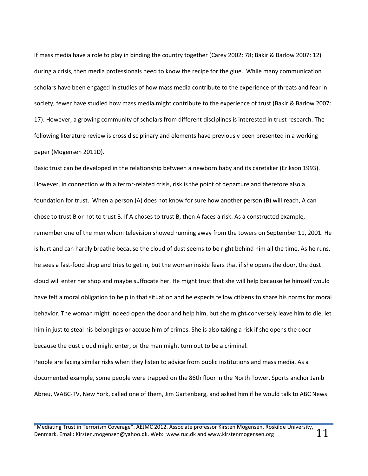If mass media have a role to play in binding the country together (Carey 2002: 78; Bakir & Barlow 2007: 12) during a crisis, then media professionals need to know the recipe for the glue. While many communication scholars have been engaged in studies of how mass media contribute to the experience of threats and fear in society, fewer have studied how mass media might contribute to the experience of trust (Bakir & Barlow 2007: 17). However, a growing community of scholars from different disciplines is interested in trust research. The following literature review is cross disciplinary and elements have previously been presented in a working paper (Mogensen 2011D).

Basic trust can be developed in the relationship between a newborn baby and its caretaker (Erikson 1993). However, in connection with a terror-related crisis, risk is the point of departure and therefore also a foundation for trust. When a person (A) does not know for sure how another person (B) will reach, A can chose to trust B or not to trust B. If A choses to trust B, then A faces a risk. As a constructed example, remember one of the men whom television showed running away from the towers on September 11, 2001. He is hurt and can hardly breathe because the cloud of dust seems to be right behind him all the time. As he runs, he sees a fast-food shop and tries to get in, but the woman inside fears that if she opens the door, the dust cloud will enter her shop and maybe suffocate her. He might trust that she will help because he himself would have felt a moral obligation to help in that situation and he expects fellow citizens to share his norms for moral behavior. The woman might indeed open the door and help him, but she might conversely leave him to die, let him in just to steal his belongings or accuse him of crimes. She is also taking a risk if she opens the door because the dust cloud might enter, or the man might turn out to be a criminal.

People are facing similar risks when they listen to advice from public institutions and mass media. As a documented example, some people were trapped on the 86th floor in the North Tower. Sports anchor Janib Abreu, WABC-TV, New York, called one of them, Jim Gartenberg, and asked him if he would talk to ABC News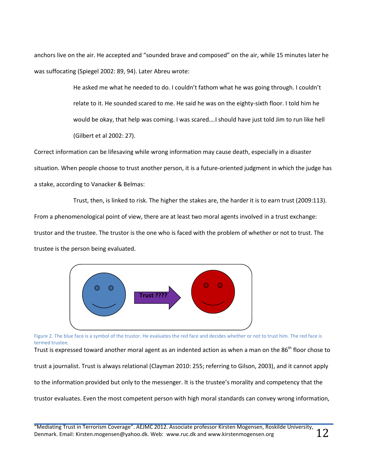anchors live on the air. He accepted and "sounded brave and composed" on the air, while 15 minutes later he was suffocating (Spiegel 2002: 89, 94). Later Abreu wrote:

> He asked me what he needed to do. I couldn't fathom what he was going through. I couldn't relate to it. He sounded scared to me. He said he was on the eighty-sixth floor. I told him he would be okay, that help was coming. I was scared….I should have just told Jim to run like hell (Gilbert et al 2002: 27).

Correct information can be lifesaving while wrong information may cause death, especially in a disaster situation. When people choose to trust another person, it is a future-oriented judgment in which the judge has a stake, according to Vanacker & Belmas:

Trust, then, is linked to risk. The higher the stakes are, the harder it is to earn trust (2009:113). From a phenomenological point of view, there are at least two moral agents involved in a trust exchange: trustor and the trustee. The trustor is the one who is faced with the problem of whether or not to trust. The trustee is the person being evaluated.



Figure 2. The blue face is a symbol of the trustor. He evaluates the red face and decides whether or not to trust him. The red face is termed trustee.

Trust is expressed toward another moral agent as an indented action as when a man on the 86<sup>th</sup> floor chose to

trust a journalist. Trust is always relational (Clayman 2010: 255; referring to Gilson, 2003), and it cannot apply

to the information provided but only to the messenger. It is the trustee's morality and competency that the

trustor evaluates. Even the most competent person with high moral standards can convey wrong information,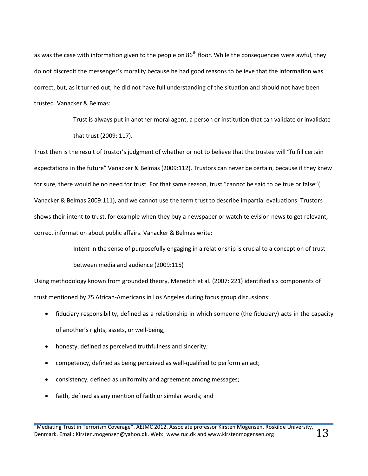as was the case with information given to the people on 86<sup>th</sup> floor. While the consequences were awful, they do not discredit the messenger's morality because he had good reasons to believe that the information was correct, but, as it turned out, he did not have full understanding of the situation and should not have been trusted. Vanacker & Belmas:

> Trust is always put in another moral agent, a person or institution that can validate or invalidate that trust (2009: 117).

Trust then is the result of trustor's judgment of whether or not to believe that the trustee will "fulfill certain expectations in the future" Vanacker & Belmas (2009:112). Trustors can never be certain, because if they knew for sure, there would be no need for trust. For that same reason, trust "cannot be said to be true or false"( Vanacker & Belmas 2009:111), and we cannot use the term trust to describe impartial evaluations. Trustors shows their intent to trust, for example when they buy a newspaper or watch television news to get relevant, correct information about public affairs. Vanacker & Belmas write:

> Intent in the sense of purposefully engaging in a relationship is crucial to a conception of trust between media and audience (2009:115)

Using methodology known from grounded theory, Meredith et al. (2007: 221) identified six components of trust mentioned by 75 African-Americans in Los Angeles during focus group discussions:

- fiduciary responsibility, defined as a relationship in which someone (the fiduciary) acts in the capacity of another's rights, assets, or well-being;
- honesty, defined as perceived truthfulness and sincerity;
- competency, defined as being perceived as well-qualified to perform an act;
- consistency, defined as uniformity and agreement among messages;
- faith, defined as any mention of faith or similar words; and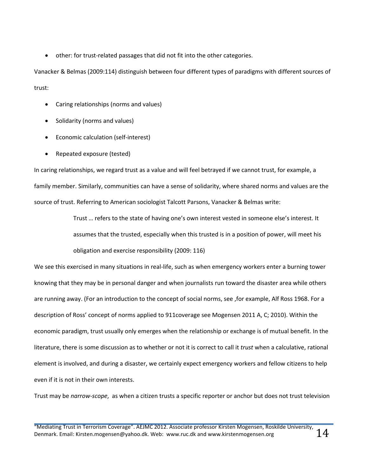other: for trust-related passages that did not fit into the other categories.

Vanacker & Belmas (2009:114) distinguish between four different types of paradigms with different sources of trust:

- Caring relationships (norms and values)
- Solidarity (norms and values)
- Economic calculation (self-interest)
- Repeated exposure (tested)

In caring relationships, we regard trust as a value and will feel betrayed if we cannot trust, for example, a family member. Similarly, communities can have a sense of solidarity, where shared norms and values are the source of trust. Referring to American sociologist Talcott Parsons, Vanacker & Belmas write:

> Trust … refers to the state of having one's own interest vested in someone else's interest. It assumes that the trusted, especially when this trusted is in a position of power, will meet his obligation and exercise responsibility (2009: 116)

We see this exercised in many situations in real-life, such as when emergency workers enter a burning tower knowing that they may be in personal danger and when journalists run toward the disaster area while others are running away. (For an introduction to the concept of social norms, see ,for example, Alf Ross 1968. For a description of Ross' concept of norms applied to 911coverage see Mogensen 2011 A, C; 2010). Within the economic paradigm, trust usually only emerges when the relationship or exchange is of mutual benefit. In the literature, there is some discussion as to whether or not it is correct to call it *trust* when a calculative, rational element is involved, and during a disaster, we certainly expect emergency workers and fellow citizens to help even if it is not in their own interests.

Trust may be *narrow-scope*, as when a citizen trusts a specific reporter or anchor but does not trust television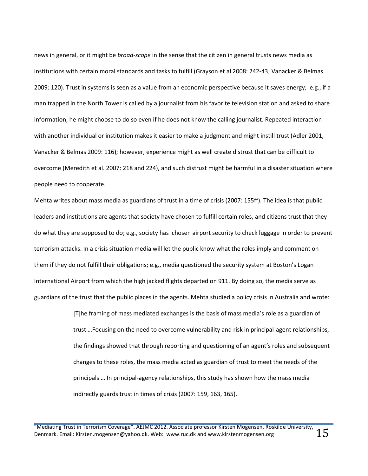news in general, or it might be *broad-scope* in the sense that the citizen in general trusts news media as institutions with certain moral standards and tasks to fulfill (Grayson et al 2008: 242-43; Vanacker & Belmas 2009: 120). Trust in systems is seen as a value from an economic perspective because it saves energy; e.g., if a man trapped in the North Tower is called by a journalist from his favorite television station and asked to share information, he might choose to do so even if he does not know the calling journalist. Repeated interaction with another individual or institution makes it easier to make a judgment and might instill trust (Adler 2001, Vanacker & Belmas 2009: 116); however, experience might as well create distrust that can be difficult to overcome (Meredith et al. 2007: 218 and 224), and such distrust might be harmful in a disaster situation where people need to cooperate.

Mehta writes about mass media as guardians of trust in a time of crisis (2007: 155ff). The idea is that public leaders and institutions are agents that society have chosen to fulfill certain roles, and citizens trust that they do what they are supposed to do; e.g., society has chosen airport security to check luggage in order to prevent terrorism attacks. In a crisis situation media will let the public know what the roles imply and comment on them if they do not fulfill their obligations; e.g., media questioned the security system at Boston's Logan International Airport from which the high jacked flights departed on 911. By doing so, the media serve as guardians of the trust that the public places in the agents. Mehta studied a policy crisis in Australia and wrote:

> [T]he framing of mass mediated exchanges is the basis of mass media's role as a guardian of trust …Focusing on the need to overcome vulnerability and risk in principal-agent relationships, the findings showed that through reporting and questioning of an agent's roles and subsequent changes to these roles, the mass media acted as guardian of trust to meet the needs of the principals … In principal-agency relationships, this study has shown how the mass media indirectly guards trust in times of crisis (2007: 159, 163, 165).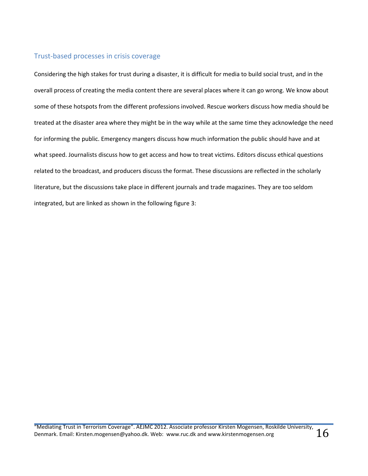### <span id="page-16-0"></span>Trust-based processes in crisis coverage

Considering the high stakes for trust during a disaster, it is difficult for media to build social trust, and in the overall process of creating the media content there are several places where it can go wrong. We know about some of these hotspots from the different professions involved. Rescue workers discuss how media should be treated at the disaster area where they might be in the way while at the same time they acknowledge the need for informing the public. Emergency mangers discuss how much information the public should have and at what speed. Journalists discuss how to get access and how to treat victims. Editors discuss ethical questions related to the broadcast, and producers discuss the format. These discussions are reflected in the scholarly literature, but the discussions take place in different journals and trade magazines. They are too seldom integrated, but are linked as shown in the following figure 3: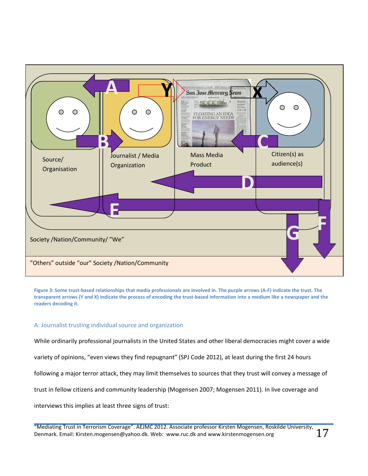

**Figure 3: Some trust-based relationships that media professionals are involved in. The purple arrows (A-F) indicate the trust. The transparent arrows (Y and X) indicate the process of encoding the trust-based information into a medium like a newspaper and the readers decoding it.** 

#### <span id="page-17-0"></span>A: Journalist trusting individual source and organization

While ordinarily professional journalists in the United States and other liberal democracies might cover a wide

variety of opinions, "even views they find repugnant" (SPJ Code 2012), at least during the first 24 hours

following a major terror attack, they may limit themselves to sources that they trust will convey a message of

trust in fellow citizens and community leadership (Mogensen 2007; Mogensen 2011). In live coverage and

interviews this implies at least three signs of trust: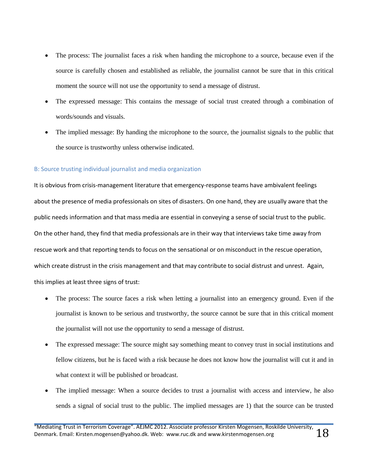- The process: The journalist faces a risk when handing the microphone to a source, because even if the source is carefully chosen and established as reliable, the journalist cannot be sure that in this critical moment the source will not use the opportunity to send a message of distrust.
- The expressed message: This contains the message of social trust created through a combination of words/sounds and visuals.
- The implied message: By handing the microphone to the source, the journalist signals to the public that the source is trustworthy unless otherwise indicated.

#### <span id="page-18-0"></span>B: Source trusting individual journalist and media organization

It is obvious from crisis-management literature that emergency-response teams have ambivalent feelings about the presence of media professionals on sites of disasters. On one hand, they are usually aware that the public needs information and that mass media are essential in conveying a sense of social trust to the public. On the other hand, they find that media professionals are in their way that interviews take time away from rescue work and that reporting tends to focus on the sensational or on misconduct in the rescue operation, which create distrust in the crisis management and that may contribute to social distrust and unrest. Again, this implies at least three signs of trust:

- The process: The source faces a risk when letting a journalist into an emergency ground. Even if the journalist is known to be serious and trustworthy, the source cannot be sure that in this critical moment the journalist will not use the opportunity to send a message of distrust.
- The expressed message: The source might say something meant to convey trust in social institutions and fellow citizens, but he is faced with a risk because he does not know how the journalist will cut it and in what context it will be published or broadcast.
- The implied message: When a source decides to trust a journalist with access and interview, he also sends a signal of social trust to the public. The implied messages are 1) that the source can be trusted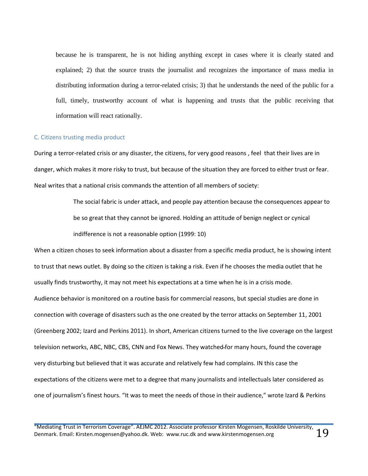because he is transparent, he is not hiding anything except in cases where it is clearly stated and explained; 2) that the source trusts the journalist and recognizes the importance of mass media in distributing information during a terror-related crisis; 3) that he understands the need of the public for a full, timely, trustworthy account of what is happening and trusts that the public receiving that information will react rationally.

#### <span id="page-19-0"></span>C. Citizens trusting media product

During a terror-related crisis or any disaster, the citizens, for very good reasons , feel that their lives are in danger, which makes it more risky to trust, but because of the situation they are forced to either trust or fear. Neal writes that a national crisis commands the attention of all members of society:

> The social fabric is under attack, and people pay attention because the consequences appear to be so great that they cannot be ignored. Holding an attitude of benign neglect or cynical indifference is not a reasonable option (1999: 10)

When a citizen choses to seek information about a disaster from a specific media product, he is showing intent to trust that news outlet. By doing so the citizen is taking a risk. Even if he chooses the media outlet that he usually finds trustworthy, it may not meet his expectations at a time when he is in a crisis mode. Audience behavior is monitored on a routine basis for commercial reasons, but special studies are done in connection with coverage of disasters such as the one created by the terror attacks on September 11, 2001 (Greenberg 2002; Izard and Perkins 2011). In short, American citizens turned to the live coverage on the largest television networks, ABC, NBC, CBS, CNN and Fox News. They watched for many hours, found the coverage very disturbing but believed that it was accurate and relatively few had complains. IN this case the expectations of the citizens were met to a degree that many journalists and intellectuals later considered as one of journalism's finest hours. "It was to meet the needs of those in their audience," wrote Izard & Perkins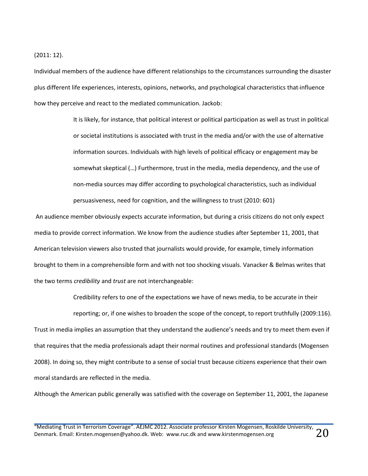(2011: 12).

Individual members of the audience have different relationships to the circumstances surrounding the disaster plus different life experiences, interests, opinions, networks, and psychological characteristics that influence how they perceive and react to the mediated communication. Jackob:

> It is likely, for instance, that political interest or political participation as well as trust in political or societal institutions is associated with trust in the media and/or with the use of alternative information sources. Individuals with high levels of political efficacy or engagement may be somewhat skeptical (…) Furthermore, trust in the media, media dependency, and the use of non-media sources may differ according to psychological characteristics, such as individual persuasiveness, need for cognition, and the willingness to trust (2010: 601)

An audience member obviously expects accurate information, but during a crisis citizens do not only expect media to provide correct information. We know from the audience studies after September 11, 2001, that American television viewers also trusted that journalists would provide, for example, timely information brought to them in a comprehensible form and with not too shocking visuals. Vanacker & Belmas writes that the two terms *credibility* and *trust* are not interchangeable:

reporting; or, if one wishes to broaden the scope of the concept, to report truthfully (2009:116). Trust in media implies an assumption that they understand the audience's needs and try to meet them even if that requires that the media professionals adapt their normal routines and professional standards (Mogensen 2008). In doing so, they might contribute to a sense of social trust because citizens experience that their own moral standards are reflected in the media.

Credibility refers to one of the expectations we have of news media, to be accurate in their

Although the American public generally was satisfied with the coverage on September 11, 2001, the Japanese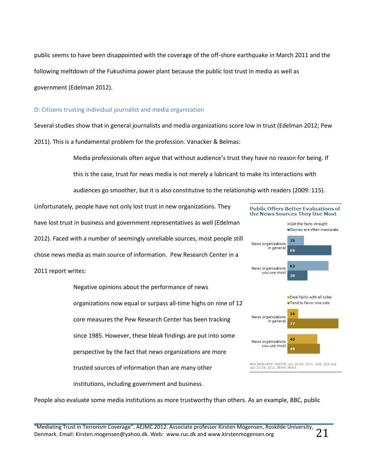public seems to have been disappointed with the coverage of the off-shore earthquake in March 2011 and the following meltdown of the Fukushima power plant because the public lost trust in media as well as government (Edelman 2012).

#### <span id="page-21-0"></span>D: Citizens trusting individual journalist and media organization

Several studies show that in general journalists and media organizations score low in trust (Edelman 2012; Pew 2011). This is a fundamental problem for the profession. Vanacker & Belmas:

Media professionals often argue that without audience's trust they have no reason for being. If

this is the case, trust for news media is not merely a lubricant to make its interactions with

audiences go smoother, but it is also constitutive to the relationship with readers (2009: 115).

Unfortunately, people have not only lost trust in new organizations. They have lost trust in business and government representatives as well (Edelman 2012). Faced with a number of seemingly unreliable sources, most people still chose news media as main source of information. Pew Research Center in a

#### 2011 report writes:

Negative opinions about the performance of news organizations now equal or surpass all-time highs on nine of 12 core measures the Pew Research Center has been tracking since 1985. However, these bleak findings are put into some perspective by the fact that news organizations are more trusted sources of information than are many other institutions, including government and business.



**Public Offers Better Evaluations of** 

People also evaluate some media institutions as more trustworthy than others. As an example, BBC, public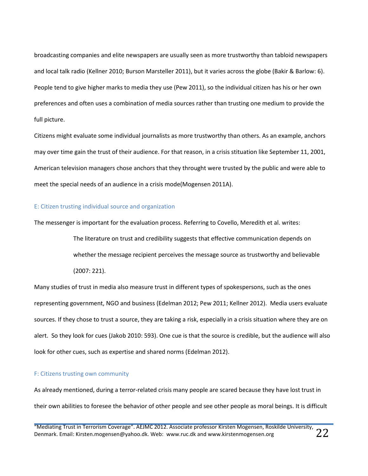broadcasting companies and elite newspapers are usually seen as more trustworthy than tabloid newspapers and local talk radio (Kellner 2010; Burson Marsteller 2011), but it varies across the globe (Bakir & Barlow: 6). People tend to give higher marks to media they use (Pew 2011), so the individual citizen has his or her own preferences and often uses a combination of media sources rather than trusting one medium to provide the full picture.

Citizens might evaluate some individual journalists as more trustworthy than others. As an example, anchors may over time gain the trust of their audience. For that reason, in a crisis stituation like September 11, 2001, American television managers chose anchors that they throught were trusted by the public and were able to meet the special needs of an audience in a crisis mode(Mogensen 2011A).

#### <span id="page-22-0"></span>E: Citizen trusting individual source and organization

The messenger is important for the evaluation process. Referring to Covello, Meredith et al. writes:

The literature on trust and credibility suggests that effective communication depends on whether the message recipient perceives the message source as trustworthy and believable (2007: 221).

Many studies of trust in media also measure trust in different types of spokespersons, such as the ones representing government, NGO and business (Edelman 2012; Pew 2011; Kellner 2012). Media users evaluate sources. If they chose to trust a source, they are taking a risk, especially in a crisis situation where they are on alert. So they look for cues (Jakob 2010: 593). One cue is that the source is credible, but the audience will also look for other cues, such as expertise and shared norms (Edelman 2012).

#### <span id="page-22-1"></span>F: Citizens trusting own community

As already mentioned, during a terror-related crisis many people are scared because they have lost trust in their own abilities to foresee the behavior of other people and see other people as moral beings. It is difficult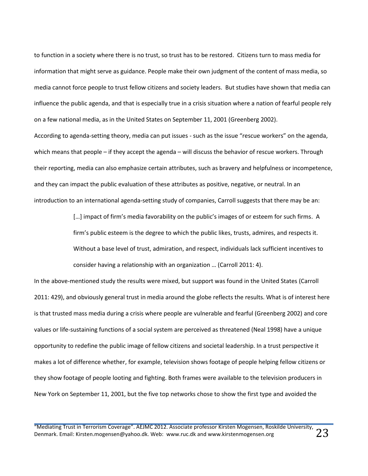to function in a society where there is no trust, so trust has to be restored. Citizens turn to mass media for information that might serve as guidance. People make their own judgment of the content of mass media, so media cannot force people to trust fellow citizens and society leaders. But studies have shown that media can influence the public agenda, and that is especially true in a crisis situation where a nation of fearful people rely on a few national media, as in the United States on September 11, 2001 (Greenberg 2002).

According to agenda-setting theory, media can put issues - such as the issue "rescue workers" on the agenda, which means that people – if they accept the agenda – will discuss the behavior of rescue workers. Through their reporting, media can also emphasize certain attributes, such as bravery and helpfulness or incompetence, and they can impact the public evaluation of these attributes as positive, negative, or neutral. In an introduction to an international agenda-setting study of companies, Carroll suggests that there may be an:

> [...] impact of firm's media favorability on the public's images of or esteem for such firms. A firm's public esteem is the degree to which the public likes, trusts, admires, and respects it. Without a base level of trust, admiration, and respect, individuals lack sufficient incentives to consider having a relationship with an organization … (Carroll 2011: 4).

In the above-mentioned study the results were mixed, but support was found in the United States (Carroll 2011: 429), and obviously general trust in media around the globe reflects the results. What is of interest here is that trusted mass media during a crisis where people are vulnerable and fearful (Greenberg 2002) and core values or life-sustaining functions of a social system are perceived as threatened (Neal 1998) have a unique opportunity to redefine the public image of fellow citizens and societal leadership. In a trust perspective it makes a lot of difference whether, for example, television shows footage of people helping fellow citizens or they show footage of people looting and fighting. Both frames were available to the television producers in New York on September 11, 2001, but the five top networks chose to show the first type and avoided the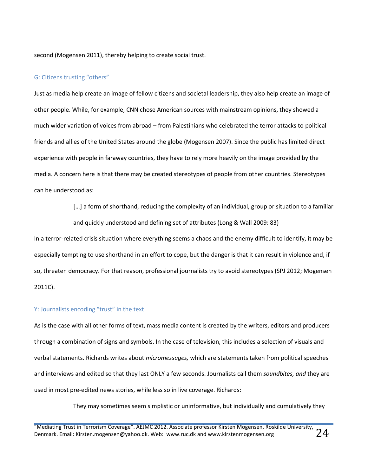second (Mogensen 2011), thereby helping to create social trust.

#### <span id="page-24-0"></span>G: Citizens trusting "others"

Just as media help create an image of fellow citizens and societal leadership, they also help create an image of other people. While, for example, CNN chose American sources with mainstream opinions, they showed a much wider variation of voices from abroad – from Palestinians who celebrated the terror attacks to political friends and allies of the United States around the globe (Mogensen 2007). Since the public has limited direct experience with people in faraway countries, they have to rely more heavily on the image provided by the media. A concern here is that there may be created stereotypes of people from other countries. Stereotypes can be understood as:

> [...] a form of shorthand, reducing the complexity of an individual, group or situation to a familiar and quickly understood and defining set of attributes (Long & Wall 2009: 83)

In a terror-related crisis situation where everything seems a chaos and the enemy difficult to identify, it may be especially tempting to use shorthand in an effort to cope, but the danger is that it can result in violence and, if so, threaten democracy. For that reason, professional journalists try to avoid stereotypes (SPJ 2012; Mogensen 2011C).

#### <span id="page-24-1"></span>Y: Journalists encoding "trust" in the text

As is the case with all other forms of text, mass media content is created by the writers, editors and producers through a combination of signs and symbols. In the case of television, this includes a selection of visuals and verbal statements. Richards writes about *micromessages,* which are statements taken from political speeches and interviews and edited so that they last ONLY a few seconds. Journalists call them *soundbites, and* they are used in most pre-edited news stories, while less so in live coverage. Richards:

They may sometimes seem simplistic or uninformative, but individually and cumulatively they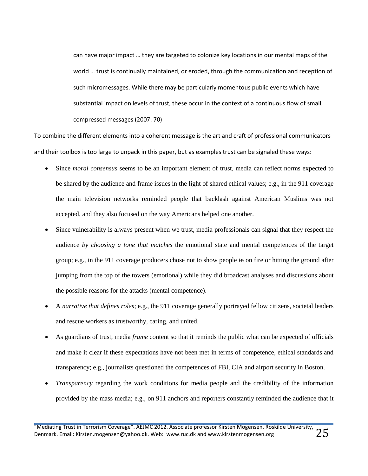can have major impact … they are targeted to colonize key locations in our mental maps of the world … trust is continually maintained, or eroded, through the communication and reception of such micromessages. While there may be particularly momentous public events which have substantial impact on levels of trust, these occur in the context of a continuous flow of small, compressed messages (2007: 70)

To combine the different elements into a coherent message is the art and craft of professional communicators and their toolbox is too large to unpack in this paper, but as examples trust can be signaled these ways:

- Since *moral consensus* seems to be an important element of trust, media can reflect norms expected to be shared by the audience and frame issues in the light of shared ethical values; e.g., in the 911 coverage the main television networks reminded people that backlash against American Muslims was not accepted, and they also focused on the way Americans helped one another.
- Since vulnerability is always present when we trust, media professionals can signal that they respect the audience *by choosing a tone that matches* the emotional state and mental competences of the target group; e.g., in the 911 coverage producers chose not to show people in on fire or hitting the ground after jumping from the top of the towers (emotional) while they did broadcast analyses and discussions about the possible reasons for the attacks (mental competence).
- A *narrative that defines roles*; e.g., the 911 coverage generally portrayed fellow citizens, societal leaders and rescue workers as trustworthy, caring, and united.
- As guardians of trust, media *frame* content so that it reminds the public what can be expected of officials and make it clear if these expectations have not been met in terms of competence, ethical standards and transparency; e.g., journalists questioned the competences of FBI, CIA and airport security in Boston.
- *Transparency* regarding the work conditions for media people and the credibility of the information provided by the mass media; e.g., on 911 anchors and reporters constantly reminded the audience that it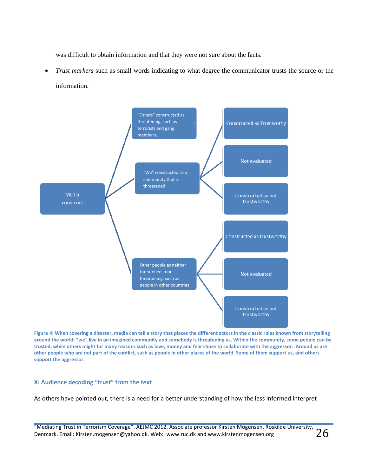was difficult to obtain information and that they were not sure about the facts.

 *Trust markers* such as small words indicating to what degree the communicator trusts the source or the information.



**Figure 4: When covering a disaster, media can tell a story that places the different actors in the classic roles known from storytelling around the world: "we" live in an imagined community and somebody is threatening us. Within the community, some people can be trusted, while others might for many reasons such as love, money and fear chose to collaborate with the aggressor. Around us are other people who are not part of the conflict, such as people in other places of the world. Some of them support us, and others support the aggressor.**

#### <span id="page-26-0"></span>**X: Audience decoding "trust" from the text**

As others have pointed out, there is a need for a better understanding of how the less informed interpret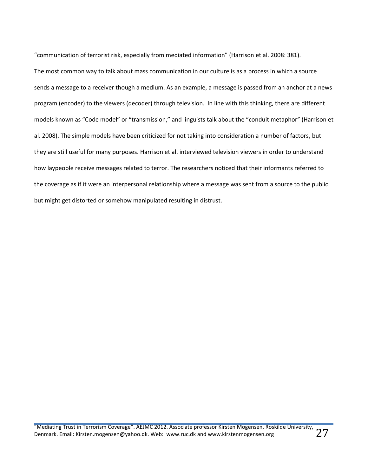"communication of terrorist risk, especially from mediated information" (Harrison et al. 2008: 381). The most common way to talk about mass communication in our culture is as a process in which a source sends a message to a receiver though a medium. As an example, a message is passed from an anchor at a news program (encoder) to the viewers (decoder) through television. In line with this thinking, there are different models known as "Code model" or "transmission," and linguists talk about the "conduit metaphor" (Harrison et al. 2008). The simple models have been criticized for not taking into consideration a number of factors, but they are still useful for many purposes. Harrison et al. interviewed television viewers in order to understand how laypeople receive messages related to terror. The researchers noticed that their informants referred to the coverage as if it were an interpersonal relationship where a message was sent from a source to the public but might get distorted or somehow manipulated resulting in distrust.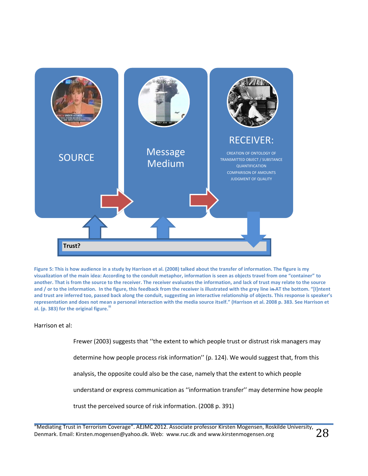![](_page_28_Figure_0.jpeg)

**Figure 5: This is how audience in a study by Harrison et al. (2008) talked about the transfer of information. The figure is my visualization of the main idea: According to the conduit metaphor, information is seen as objects travel from one "container" to another. That is from the source to the receiver. The receiver evaluates the information, and lack of trust may relate to the source**  and / or to the information. In the figure, this feedback from the receiver is illustrated with the grey line in AT the bottom. "[I]ntent **and trust are inferred too, passed back along the conduit, suggesting an interactive relationship of objects. This response is speaker's representation and does not mean a personal interaction with the media source itself." (Harrison et al. 2008 p. 383. See Harrison et al. (p. 383) for the original figure.iii**

#### Harrison et al:

Frewer (2003) suggests that ''the extent to which people trust or distrust risk managers may

determine how people process risk information'' (p. 124). We would suggest that, from this

analysis, the opposite could also be the case, namely that the extent to which people

understand or express communication as ''information transfer'' may determine how people

trust the perceived source of risk information. (2008 p. 391)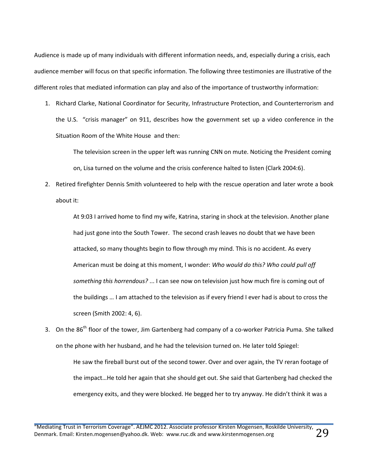Audience is made up of many individuals with different information needs, and, especially during a crisis, each audience member will focus on that specific information. The following three testimonies are illustrative of the different roles that mediated information can play and also of the importance of trustworthy information:

1. Richard Clarke, National Coordinator for Security, Infrastructure Protection, and Counterterrorism and the U.S. "crisis manager" on 911, describes how the government set up a video conference in the Situation Room of the White House and then:

The television screen in the upper left was running CNN on mute. Noticing the President coming on, Lisa turned on the volume and the crisis conference halted to listen (Clark 2004:6).

2. Retired firefighter Dennis Smith volunteered to help with the rescue operation and later wrote a book about it:

At 9:03 I arrived home to find my wife, Katrina, staring in shock at the television. Another plane had just gone into the South Tower. The second crash leaves no doubt that we have been attacked, so many thoughts begin to flow through my mind. This is no accident. As every American must be doing at this moment, I wonder: *Who would do this? Who could pull off something this horrendous?* ... I can see now on television just how much fire is coming out of the buildings … I am attached to the television as if every friend I ever had is about to cross the screen (Smith 2002: 4, 6).

3. On the 86<sup>th</sup> floor of the tower, Jim Gartenberg had company of a co-worker Patricia Puma. She talked on the phone with her husband, and he had the television turned on. He later told Spiegel: He saw the fireball burst out of the second tower. Over and over again, the TV reran footage of the impact…He told her again that she should get out. She said that Gartenberg had checked the emergency exits, and they were blocked. He begged her to try anyway. He didn't think it was a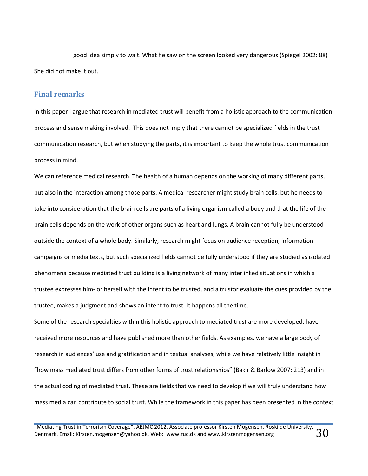good idea simply to wait. What he saw on the screen looked very dangerous (Spiegel 2002: 88) She did not make it out.

#### <span id="page-30-0"></span>**Final remarks**

In this paper I argue that research in mediated trust will benefit from a holistic approach to the communication process and sense making involved. This does not imply that there cannot be specialized fields in the trust communication research, but when studying the parts, it is important to keep the whole trust communication process in mind.

We can reference medical research. The health of a human depends on the working of many different parts, but also in the interaction among those parts. A medical researcher might study brain cells, but he needs to take into consideration that the brain cells are parts of a living organism called a body and that the life of the brain cells depends on the work of other organs such as heart and lungs. A brain cannot fully be understood outside the context of a whole body. Similarly, research might focus on audience reception, information campaigns or media texts, but such specialized fields cannot be fully understood if they are studied as isolated phenomena because mediated trust building is a living network of many interlinked situations in which a trustee expresses him- or herself with the intent to be trusted, and a trustor evaluate the cues provided by the trustee, makes a judgment and shows an intent to trust. It happens all the time.

Some of the research specialties within this holistic approach to mediated trust are more developed, have received more resources and have published more than other fields. As examples, we have a large body of research in audiences' use and gratification and in textual analyses, while we have relatively little insight in "how mass mediated trust differs from other forms of trust relationships" (Bakir & Barlow 2007: 213) and in the actual coding of mediated trust. These are fields that we need to develop if we will truly understand how mass media can contribute to social trust. While the framework in this paper has been presented in the context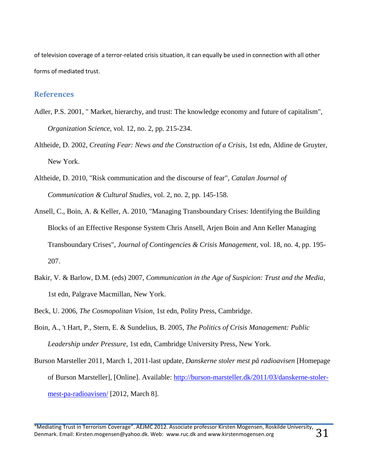of television coverage of a terror-related crisis situation, it can equally be used in connection with all other forms of mediated trust.

#### <span id="page-31-0"></span>**References**

- Adler, P.S. 2001, " Market, hierarchy, and trust: The knowledge economy and future of capitalism", *Organization Science,* vol. 12, no. 2, pp. 215-234.
- Altheide, D. 2002, *Creating Fear: News and the Construction of a Crisis,* 1st edn, Aldine de Gruyter, New York.
- Altheide, D. 2010, "Risk communication and the discourse of fear", *Catalan Journal of Communication & Cultural Studies,* vol. 2, no. 2, pp. 145-158.
- Ansell, C., Boin, A. & Keller, A. 2010, "Managing Transboundary Crises: Identifying the Building Blocks of an Effective Response System Chris Ansell, Arjen Boin and Ann Keller Managing Transboundary Crises", *Journal of Contingencies & Crisis Management,* vol. 18, no. 4, pp. 195- 207.
- Bakir, V. & Barlow, D.M. (eds) 2007, *Communication in the Age of Suspicion: Trust and the Media*, 1st edn, Palgrave Macmillan, New York.
- Beck, U. 2006, *The Cosmopolitan Vision,* 1st edn, Polity Press, Cambridge.
- Boin, A., 't Hart, P., Stern, E. & Sundelius, B. 2005, *The Politics of Crisis Management: Public Leadership under Pressure,* 1st edn, Cambridge University Press, New York.
- Burson Marsteller 2011, March 1, 2011-last update*, Danskerne stoler mest på radioavisen* [Homepage of Burson Marsteller], [Online]. Available: [http://burson-marsteller.dk/2011/03/danskerne-stoler](http://burson-marsteller.dk/2011/03/danskerne-stoler-mest-pa-radioavisen/)[mest-pa-radioavisen/](http://burson-marsteller.dk/2011/03/danskerne-stoler-mest-pa-radioavisen/) [2012, March 8].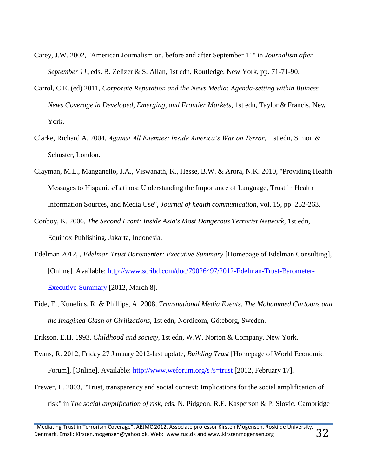- Carey, J.W. 2002, "American Journalism on, before and after September 11" in *Journalism after September 11*, eds. B. Zelizer & S. Allan, 1st edn, Routledge, New York, pp. 71-71-90.
- Carrol, C.E. (ed) 2011, *Corporate Reputation and the News Media: Agenda-setting within Buiness News Coverage in Developed, Emerging, and Frontier Markets*, 1st edn, Taylor & Francis, New York.
- Clarke, Richard A. 2004, *Against All Enemies: Inside America's War on Terror*, 1 st edn, Simon & Schuster, London.
- Clayman, M.L., Manganello, J.A., Viswanath, K., Hesse, B.W. & Arora, N.K. 2010, "Providing Health Messages to Hispanics/Latinos: Understanding the Importance of Language, Trust in Health Information Sources, and Media Use", *Journal of health communication,* vol. 15, pp. 252-263.
- Conboy, K. 2006, *The Second Front: Inside Asia's Most Dangerous Terrorist Network,* 1st edn, Equinox Publishing, Jakarta, Indonesia.
- Edelman 2012, *, Edelman Trust Baromenter: Executive Summary* [Homepage of Edelman Consulting], [Online]. Available: [http://www.scribd.com/doc/79026497/2012-Edelman-Trust-Barometer-](http://www.scribd.com/doc/79026497/2012-Edelman-Trust-Barometer-Executive-Summary)[Executive-Summary](http://www.scribd.com/doc/79026497/2012-Edelman-Trust-Barometer-Executive-Summary) [2012, March 8].
- Eide, E., Kunelius, R. & Phillips, A. 2008, *Transnational Media Events. The Mohammed Cartoons and the Imagined Clash of Civilizations,* 1st edn, Nordicom, Göteborg, Sweden.

Erikson, E.H. 1993, *Childhood and society,* 1st edn, W.W. Norton & Company, New York.

- Evans, R. 2012, Friday 27 January 2012-last update*, Building Trust* [Homepage of World Economic Forum], [Online]. Available:<http://www.weforum.org/s?s=trust> [2012, February 17].
- Frewer, L. 2003, "Trust, transparency and social context: Implications for the social amplification of risk" in *The social amplification of risk*, eds. N. Pidgeon, R.E. Kasperson & P. Slovic, Cambridge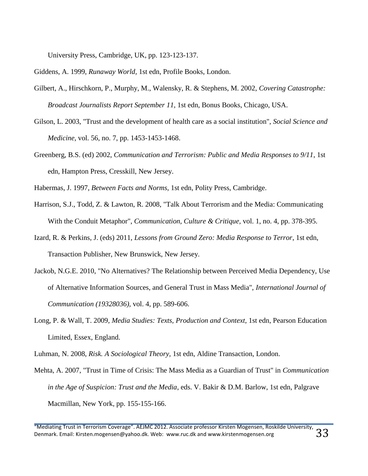University Press, Cambridge, UK, pp. 123-123-137.

Giddens, A. 1999, *Runaway World,* 1st edn, Profile Books, London.

- Gilbert, A., Hirschkorn, P., Murphy, M., Walensky, R. & Stephens, M. 2002, *Covering Catastrophe: Broadcast Journalists Report September 11,* 1st edn, Bonus Books, Chicago, USA.
- Gilson, L. 2003, "Trust and the development of health care as a social institution", *Social Science and Medicine,* vol. 56, no. 7, pp. 1453-1453-1468.
- Greenberg, B.S. (ed) 2002, *Communication and Terrorism: Public and Media Responses to 9/11*, 1st edn, Hampton Press, Cresskill, New Jersey.

Habermas, J. 1997, *Between Facts and Norms,* 1st edn, Polity Press, Cambridge.

- Harrison, S.J., Todd, Z. & Lawton, R. 2008, "Talk About Terrorism and the Media: Communicating With the Conduit Metaphor", *Communication, Culture & Critique,* vol. 1, no. 4, pp. 378-395.
- Izard, R. & Perkins, J. (eds) 2011, *Lessons from Ground Zero: Media Response to Terror*, 1st edn, Transaction Publisher, New Brunswick, New Jersey.
- Jackob, N.G.E. 2010, "No Alternatives? The Relationship between Perceived Media Dependency, Use of Alternative Information Sources, and General Trust in Mass Media", *International Journal of Communication (19328036),* vol. 4, pp. 589-606.
- Long, P. & Wall, T. 2009, *Media Studies: Texts, Production and Context,* 1st edn, Pearson Education Limited, Essex, England.

Luhman, N. 2008, *Risk. A Sociological Theory,* 1st edn, Aldine Transaction, London.

Mehta, A. 2007, "Trust in Time of Crisis: The Mass Media as a Guardian of Trust" in *Communication in the Age of Suspicion: Trust and the Media*, eds. V. Bakir & D.M. Barlow, 1st edn, Palgrave Macmillan, New York, pp. 155-155-166.

<sup>&</sup>quot;Mediating Trust in Terrorism Coverage". AEJMC 2012. Associate professor Kirsten Mogensen, Roskilde University, Denmark. Email: Kirsten.mogensen@yahoo.dk. Web: www.ruc.dk and www.kirstenmogensen.org  $33$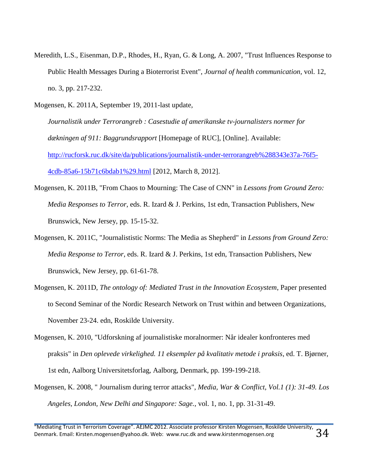- Meredith, L.S., Eisenman, D.P., Rhodes, H., Ryan, G. & Long, A. 2007, "Trust Influences Response to Public Health Messages During a Bioterrorist Event", *Journal of health communication,* vol. 12, no. 3, pp. 217-232.
- Mogensen, K. 2011A, September 19, 2011-last update*,* 
	- *Journalistik under Terrorangreb : Casestudie af amerikanske tv-journalisters normer for dækningen af 911: Baggrundsrapport* [Homepage of RUC], [Online]. Available: [http://rucforsk.ruc.dk/site/da/publications/journalistik-under-terrorangreb%288343e37a-76f5-](http://rucforsk.ruc.dk/site/da/publications/journalistik-under-terrorangreb%288343e37a-76f5-4cdb-85a6-15b71c6bdab1%29.html) [4cdb-85a6-15b71c6bdab1%29.html](http://rucforsk.ruc.dk/site/da/publications/journalistik-under-terrorangreb%288343e37a-76f5-4cdb-85a6-15b71c6bdab1%29.html) [2012, March 8, 2012].
- Mogensen, K. 2011B, "From Chaos to Mourning: The Case of CNN" in *Lessons from Ground Zero: Media Responses to Terror*, eds. R. Izard & J. Perkins, 1st edn, Transaction Publishers, New Brunswick, New Jersey, pp. 15-15-32.
- Mogensen, K. 2011C, "Journalististic Norms: The Media as Shepherd" in *Lessons from Ground Zero: Media Response to Terror*, eds. R. Izard & J. Perkins, 1st edn, Transaction Publishers, New Brunswick, New Jersey, pp. 61-61-78.
- Mogensen, K. 2011D, *The ontology of: Mediated Trust in the Innovation Ecosystem*, Paper presented to Second Seminar of the Nordic Research Network on Trust within and between Organizations, November 23-24. edn, Roskilde University.
- Mogensen, K. 2010, "Udforskning af journalistiske moralnormer: Når idealer konfronteres med praksis" in *Den oplevede virkelighed. 11 eksempler på kvalitativ metode i praksis*, ed. T. Bjørner, 1st edn, Aalborg Universitetsforlag, Aalborg, Denmark, pp. 199-199-218.
- Mogensen, K. 2008, " Journalism during terror attacks", *Media, War & Conflict, Vol.1 (1): 31-49. Los Angeles, London, New Delhi and Singapore: Sage.,* vol. 1, no. 1, pp. 31-31-49.

<sup>&</sup>quot;Mediating Trust in Terrorism Coverage". AEJMC 2012. Associate professor Kirsten Mogensen, Roskilde University,  $\,34$ Denmark. Email: Kirsten.mogensen@yahoo.dk. Web: www.ruc.dk and www.kirstenmogensen.org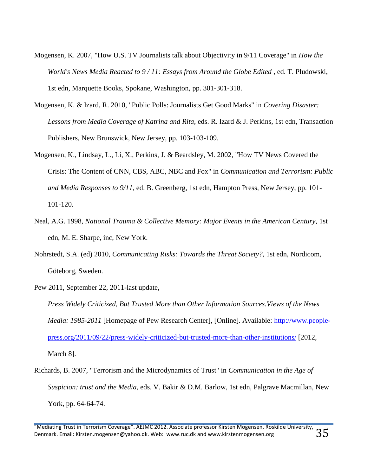- Mogensen, K. 2007, "How U.S. TV Journalists talk about Objectivity in 9/11 Coverage" in *How the World's News Media Reacted to 9/11: Essays from Around the Globe Edited*, ed. T. Pludowski, 1st edn, Marquette Books, Spokane, Washington, pp. 301-301-318.
- Mogensen, K. & Izard, R. 2010, "Public Polls: Journalists Get Good Marks" in *Covering Disaster: Lessons from Media Coverage of Katrina and Rita*, eds. R. Izard & J. Perkins, 1st edn, Transaction Publishers, New Brunswick, New Jersey, pp. 103-103-109.
- Mogensen, K., Lindsay, L., Li, X., Perkins, J. & Beardsley, M. 2002, "How TV News Covered the Crisis: The Content of CNN, CBS, ABC, NBC and Fox" in *Communication and Terrorism: Public and Media Responses to 9/11*, ed. B. Greenberg, 1st edn, Hampton Press, New Jersey, pp. 101- 101-120.
- Neal, A.G. 1998, *National Trauma & Collective Memory: Major Events in the American Century*, 1st edn, M. E. Sharpe, inc, New York.
- Nohrstedt, S.A. (ed) 2010, *Communicating Risks: Towards the Threat Society?*, 1st edn, Nordicom, Göteborg, Sweden.
- Pew 2011, September 22, 2011-last update*,*

*Press Widely Criticized, But Trusted More than Other Information Sources.Views of the News Media: 1985-2011* [Homepage of Pew Research Center], [Online]. Available: [http://www.people](http://www.people-press.org/2011/09/22/press-widely-criticized-but-trusted-more-than-other-institutions/)[press.org/2011/09/22/press-widely-criticized-but-trusted-more-than-other-institutions/](http://www.people-press.org/2011/09/22/press-widely-criticized-but-trusted-more-than-other-institutions/) [2012, March 8].

Richards, B. 2007, "Terrorism and the Microdynamics of Trust" in *Communication in the Age of Suspicion: trust and the Media*, eds. V. Bakir & D.M. Barlow, 1st edn, Palgrave Macmillan, New York, pp. 64-64-74.

<sup>&</sup>quot;Mediating Trust in Terrorism Coverage". AEJMC 2012. Associate professor Kirsten Mogensen, Roskilde University, Denmark. Email: Kirsten.mogensen@yahoo.dk. Web: www.ruc.dk and www.kirstenmogensen.org  $35$